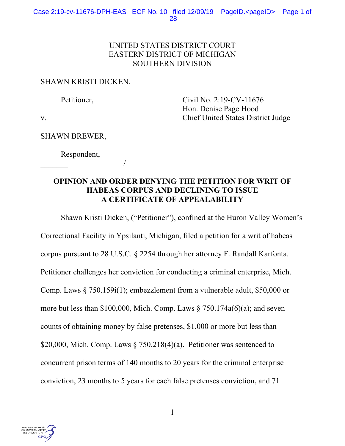## UNITED STATES DISTRICT COURT EASTERN DISTRICT OF MICHIGAN SOUTHERN DIVISION

## SHAWN KRISTI DICKEN,

Petitioner, Civil No. 2:19-CV-11676 Hon. Denise Page Hood v. Chief United States District Judge

SHAWN BREWER,

 Respondent,  $\overline{\phantom{a}}$ 

# **OPINION AND ORDER DENYING THE PETITION FOR WRIT OF HABEAS CORPUS AND DECLINING TO ISSUE A CERTIFICATE OF APPEALABILITY**

 Shawn Kristi Dicken, ("Petitioner"), confined at the Huron Valley Women's Correctional Facility in Ypsilanti, Michigan, filed a petition for a writ of habeas corpus pursuant to 28 U.S.C. § 2254 through her attorney F. Randall Karfonta. Petitioner challenges her conviction for conducting a criminal enterprise, Mich. Comp. Laws § 750.159i(1); embezzlement from a vulnerable adult, \$50,000 or more but less than \$100,000, Mich. Comp. Laws  $\S 750.174a(6)(a)$ ; and seven counts of obtaining money by false pretenses, \$1,000 or more but less than \$20,000, Mich. Comp. Laws  $\S 750.218(4)(a)$ . Petitioner was sentenced to concurrent prison terms of 140 months to 20 years for the criminal enterprise conviction, 23 months to 5 years for each false pretenses conviction, and 71

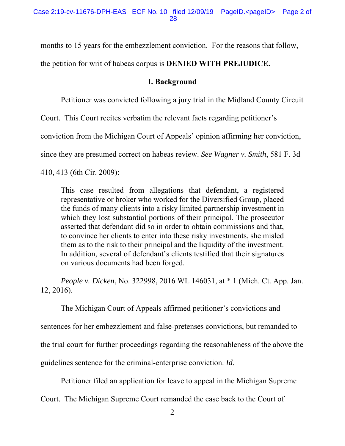months to 15 years for the embezzlement conviction. For the reasons that follow,

the petition for writ of habeas corpus is **DENIED WITH PREJUDICE.** 

# **I. Background**

Petitioner was convicted following a jury trial in the Midland County Circuit

Court. This Court recites verbatim the relevant facts regarding petitioner's

conviction from the Michigan Court of Appeals' opinion affirming her conviction,

since they are presumed correct on habeas review. *See Wagner v. Smith*, 581 F. 3d

410, 413 (6th Cir. 2009):

This case resulted from allegations that defendant, a registered representative or broker who worked for the Diversified Group, placed the funds of many clients into a risky limited partnership investment in which they lost substantial portions of their principal. The prosecutor asserted that defendant did so in order to obtain commissions and that, to convince her clients to enter into these risky investments, she misled them as to the risk to their principal and the liquidity of the investment. In addition, several of defendant's clients testified that their signatures on various documents had been forged.

*People v. Dicken*, No. 322998, 2016 WL 146031, at \* 1 (Mich. Ct. App. Jan. 12, 2016).

The Michigan Court of Appeals affirmed petitioner's convictions and

sentences for her embezzlement and false-pretenses convictions, but remanded to

the trial court for further proceedings regarding the reasonableness of the above the

guidelines sentence for the criminal-enterprise conviction. *Id.* 

Petitioner filed an application for leave to appeal in the Michigan Supreme

Court. The Michigan Supreme Court remanded the case back to the Court of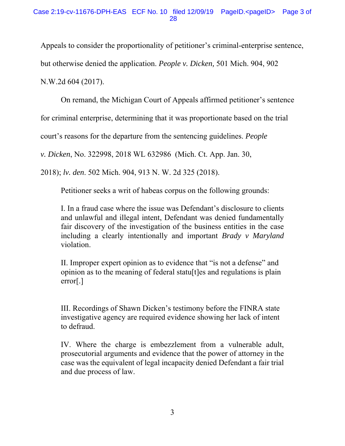Appeals to consider the proportionality of petitioner's criminal-enterprise sentence, but otherwise denied the application. *People v. Dicken,* 501 Mich. 904, 902 N.W.2d 604 (2017).

On remand, the Michigan Court of Appeals affirmed petitioner's sentence

for criminal enterprise, determining that it was proportionate based on the trial

court's reasons for the departure from the sentencing guidelines. *People* 

*v. Dicken*, No. 322998, 2018 WL 632986 (Mich. Ct. App. Jan. 30,

2018); *lv. den*. 502 Mich. 904, 913 N. W. 2d 325 (2018).

Petitioner seeks a writ of habeas corpus on the following grounds:

I. In a fraud case where the issue was Defendant's disclosure to clients and unlawful and illegal intent, Defendant was denied fundamentally fair discovery of the investigation of the business entities in the case including a clearly intentionally and important *Brady v Maryland* violation.

II. Improper expert opinion as to evidence that "is not a defense" and opinion as to the meaning of federal statu[t]es and regulations is plain error[.]

III. Recordings of Shawn Dicken's testimony before the FINRA state investigative agency are required evidence showing her lack of intent to defraud.

IV. Where the charge is embezzlement from a vulnerable adult, prosecutorial arguments and evidence that the power of attorney in the case was the equivalent of legal incapacity denied Defendant a fair trial and due process of law.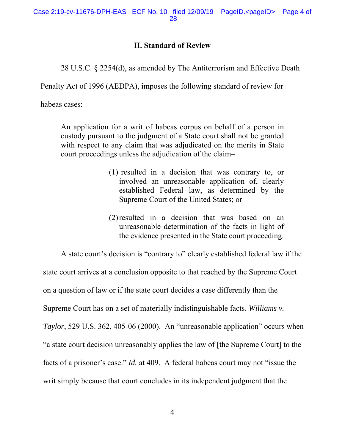## **II. Standard of Review**

28 U.S.C. § 2254(d), as amended by The Antiterrorism and Effective Death

Penalty Act of 1996 (AEDPA), imposes the following standard of review for

habeas cases:

An application for a writ of habeas corpus on behalf of a person in custody pursuant to the judgment of a State court shall not be granted with respect to any claim that was adjudicated on the merits in State court proceedings unless the adjudication of the claim–

- (1) resulted in a decision that was contrary to, or involved an unreasonable application of, clearly established Federal law, as determined by the Supreme Court of the United States; or
- (2)resulted in a decision that was based on an unreasonable determination of the facts in light of the evidence presented in the State court proceeding.

 A state court's decision is "contrary to" clearly established federal law if the state court arrives at a conclusion opposite to that reached by the Supreme Court on a question of law or if the state court decides a case differently than the Supreme Court has on a set of materially indistinguishable facts. *Williams v. Taylor*, 529 U.S. 362, 405-06 (2000). An "unreasonable application" occurs when "a state court decision unreasonably applies the law of [the Supreme Court] to the facts of a prisoner's case." *Id.* at 409. A federal habeas court may not "issue the writ simply because that court concludes in its independent judgment that the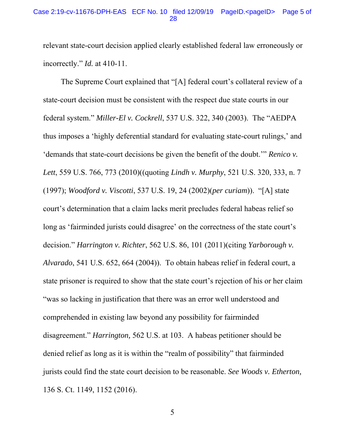#### Case 2:19-cv-11676-DPH-EAS ECF No. 10 filed 12/09/19 PageID.<pageID> Page 5 of 28

relevant state-court decision applied clearly established federal law erroneously or incorrectly." *Id.* at 410-11.

The Supreme Court explained that "[A] federal court's collateral review of a state-court decision must be consistent with the respect due state courts in our federal system." *Miller-El v. Cockrell*, 537 U.S. 322, 340 (2003). The "AEDPA thus imposes a 'highly deferential standard for evaluating state-court rulings,' and 'demands that state-court decisions be given the benefit of the doubt.'" *Renico v. Lett*, 559 U.S. 766, 773 (2010)((quoting *Lindh v. Murphy*, 521 U.S. 320, 333, n. 7 (1997); *Woodford v. Viscotti*, 537 U.S. 19, 24 (2002)(*per curiam*)). "[A] state court's determination that a claim lacks merit precludes federal habeas relief so long as 'fairminded jurists could disagree' on the correctness of the state court's decision." *Harrington v. Richter*, 562 U.S. 86, 101 (2011)(citing *Yarborough v. Alvarado*, 541 U.S. 652, 664 (2004)). To obtain habeas relief in federal court, a state prisoner is required to show that the state court's rejection of his or her claim "was so lacking in justification that there was an error well understood and comprehended in existing law beyond any possibility for fairminded disagreement." *Harrington,* 562 U.S. at 103. A habeas petitioner should be denied relief as long as it is within the "realm of possibility" that fairminded jurists could find the state court decision to be reasonable. *See Woods v. Etherton,* 136 S. Ct. 1149, 1152 (2016).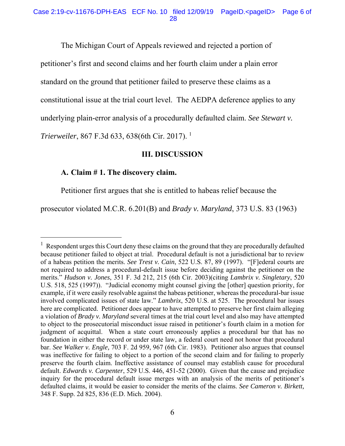The Michigan Court of Appeals reviewed and rejected a portion of

petitioner's first and second claims and her fourth claim under a plain error

standard on the ground that petitioner failed to preserve these claims as a

constitutional issue at the trial court level. The AEDPA deference applies to any

underlying plain-error analysis of a procedurally defaulted claim. *See Stewart v.* 

*Trierweiler*, 867 F.3d 633, 638(6th Cir. 2017).<sup>1</sup>

### **III. DISCUSSION**

## **A. Claim # 1. The discovery claim.**

-

Petitioner first argues that she is entitled to habeas relief because the

prosecutor violated M.C.R. 6.201(B) and *Brady v. Maryland*, 373 U.S. 83 (1963)

 $<sup>1</sup>$  Respondent urges this Court deny these claims on the ground that they are procedurally defaulted</sup> because petitioner failed to object at trial. Procedural default is not a jurisdictional bar to review of a habeas petition the merits. *See Trest v. Cain*, 522 U.S. 87, 89 (1997). "[F]ederal courts are not required to address a procedural-default issue before deciding against the petitioner on the merits." *Hudson v. Jones*, 351 F. 3d 212, 215 (6th Cir. 2003)(citing *Lambrix v. Singletary*, 520 U.S. 518, 525 (1997)). "Judicial economy might counsel giving the [other] question priority, for example, if it were easily resolvable against the habeas petitioner, whereas the procedural-bar issue involved complicated issues of state law." *Lambrix*, 520 U.S. at 525. The procedural bar issues here are complicated. Petitioner does appear to have attempted to preserve her first claim alleging a violation of *Brady v. Maryland* several times at the trial court level and also may have attempted to object to the prosecutorial misconduct issue raised in petitioner's fourth claim in a motion for judgment of acquittal. When a state court erroneously applies a procedural bar that has no foundation in either the record or under state law, a federal court need not honor that procedural bar. *See Walker v. Engle,* 703 F. 2d 959, 967 (6th Cir. 1983). Petitioner also argues that counsel was ineffective for failing to object to a portion of the second claim and for failing to properly preserve the fourth claim. Ineffective assistance of counsel may establish cause for procedural default. *Edwards v. Carpenter*, 529 U.S. 446, 451-52 (2000). Given that the cause and prejudice inquiry for the procedural default issue merges with an analysis of the merits of petitioner's defaulted claims, it would be easier to consider the merits of the claims. *See Cameron v. Birkett,*  348 F. Supp. 2d 825, 836 (E.D. Mich. 2004).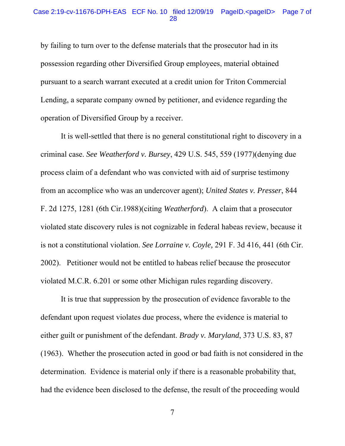by failing to turn over to the defense materials that the prosecutor had in its possession regarding other Diversified Group employees, material obtained pursuant to a search warrant executed at a credit union for Triton Commercial Lending, a separate company owned by petitioner, and evidence regarding the operation of Diversified Group by a receiver.

 It is well-settled that there is no general constitutional right to discovery in a criminal case. *See Weatherford v. Bursey*, 429 U.S. 545, 559 (1977)(denying due process claim of a defendant who was convicted with aid of surprise testimony from an accomplice who was an undercover agent); *United States v. Presser*, 844 F. 2d 1275, 1281 (6th Cir.1988)(citing *Weatherford*). A claim that a prosecutor violated state discovery rules is not cognizable in federal habeas review, because it is not a constitutional violation. *See Lorraine v. Coyle,* 291 F. 3d 416, 441 (6th Cir. 2002). Petitioner would not be entitled to habeas relief because the prosecutor violated M.C.R. 6.201 or some other Michigan rules regarding discovery.

 It is true that suppression by the prosecution of evidence favorable to the defendant upon request violates due process, where the evidence is material to either guilt or punishment of the defendant. *Brady v. Maryland*, 373 U.S. 83, 87 (1963). Whether the prosecution acted in good or bad faith is not considered in the determination. Evidence is material only if there is a reasonable probability that, had the evidence been disclosed to the defense, the result of the proceeding would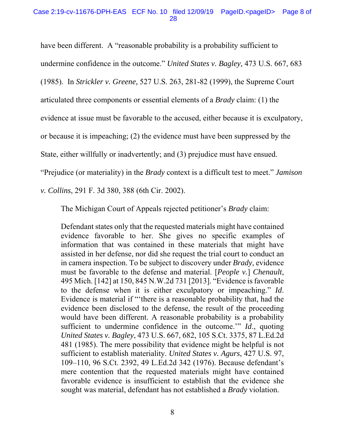#### Case 2:19-cv-11676-DPH-EAS ECF No. 10 filed 12/09/19 PageID.<pageID> Page 8 of 28

have been different. A "reasonable probability is a probability sufficient to

undermine confidence in the outcome." *United States v. Bagley,* 473 U.S. 667, 683

(1985). In *Strickler v. Greene,* 527 U.S. 263, 281-82 (1999), the Supreme Court

articulated three components or essential elements of a *Brady* claim: (1) the

evidence at issue must be favorable to the accused, either because it is exculpatory,

or because it is impeaching; (2) the evidence must have been suppressed by the

State, either willfully or inadvertently; and (3) prejudice must have ensued.

"Prejudice (or materiality) in the *Brady* context is a difficult test to meet." *Jamison* 

*v. Collins*, 291 F. 3d 380, 388 (6th Cir. 2002).

The Michigan Court of Appeals rejected petitioner's *Brady* claim:

Defendant states only that the requested materials might have contained evidence favorable to her. She gives no specific examples of information that was contained in these materials that might have assisted in her defense, nor did she request the trial court to conduct an in camera inspection. To be subject to discovery under *Brady*, evidence must be favorable to the defense and material. [*People v.*] *Chenault*, 495 Mich. [142] at 150, 845 N.W.2d 731 [2013]. "Evidence is favorable to the defense when it is either exculpatory or impeaching." *Id*. Evidence is material if "'there is a reasonable probability that, had the evidence been disclosed to the defense, the result of the proceeding would have been different. A reasonable probability is a probability sufficient to undermine confidence in the outcome.'" *Id*., quoting *United States v. Bagley*, 473 U.S. 667, 682, 105 S.Ct. 3375, 87 L.Ed.2d 481 (1985). The mere possibility that evidence might be helpful is not sufficient to establish materiality. *United States v. Agurs*, 427 U.S. 97, 109–110, 96 S.Ct. 2392, 49 L.Ed.2d 342 (1976). Because defendant's mere contention that the requested materials might have contained favorable evidence is insufficient to establish that the evidence she sought was material, defendant has not established a *Brady* violation.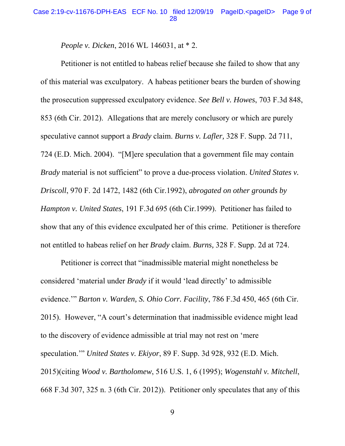*People v. Dicken*, 2016 WL 146031, at \* 2.

 Petitioner is not entitled to habeas relief because she failed to show that any of this material was exculpatory. A habeas petitioner bears the burden of showing the prosecution suppressed exculpatory evidence. *See Bell v. Howes*, 703 F.3d 848, 853 (6th Cir. 2012). Allegations that are merely conclusory or which are purely speculative cannot support a *Brady* claim. *Burns v. Lafler,* 328 F. Supp. 2d 711, 724 (E.D. Mich. 2004). "[M]ere speculation that a government file may contain *Brady* material is not sufficient" to prove a due-process violation. *United States v. Driscoll*, 970 F. 2d 1472, 1482 (6th Cir.1992), *abrogated on other grounds by Hampton v. United States*, 191 F.3d 695 (6th Cir.1999). Petitioner has failed to show that any of this evidence exculpated her of this crime. Petitioner is therefore not entitled to habeas relief on her *Brady* claim. *Burns,* 328 F. Supp. 2d at 724.

 Petitioner is correct that "inadmissible material might nonetheless be considered 'material under *Brady* if it would 'lead directly' to admissible evidence.'" *Barton v. Warden, S. Ohio Corr. Facility*, 786 F.3d 450, 465 (6th Cir. 2015). However, "A court's determination that inadmissible evidence might lead to the discovery of evidence admissible at trial may not rest on 'mere speculation.'" *United States v. Ekiyor*, 89 F. Supp. 3d 928, 932 (E.D. Mich. 2015)(citing *Wood v. Bartholomew*, 516 U.S. 1, 6 (1995); *Wogenstahl v. Mitchell*, 668 F.3d 307, 325 n. 3 (6th Cir. 2012)). Petitioner only speculates that any of this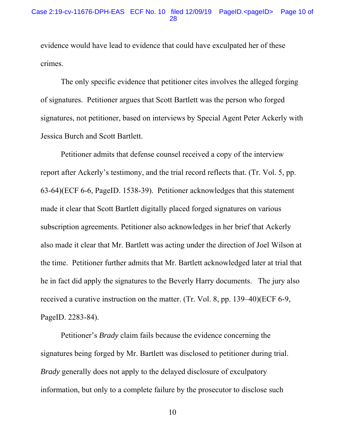evidence would have lead to evidence that could have exculpated her of these crimes.

 The only specific evidence that petitioner cites involves the alleged forging of signatures. Petitioner argues that Scott Bartlett was the person who forged signatures, not petitioner, based on interviews by Special Agent Peter Ackerly with Jessica Burch and Scott Bartlett.

 Petitioner admits that defense counsel received a copy of the interview report after Ackerly's testimony, and the trial record reflects that. (Tr. Vol. 5, pp. 63-64)(ECF 6-6, PageID. 1538-39). Petitioner acknowledges that this statement made it clear that Scott Bartlett digitally placed forged signatures on various subscription agreements. Petitioner also acknowledges in her brief that Ackerly also made it clear that Mr. Bartlett was acting under the direction of Joel Wilson at the time. Petitioner further admits that Mr. Bartlett acknowledged later at trial that he in fact did apply the signatures to the Beverly Harry documents. The jury also received a curative instruction on the matter. (Tr. Vol. 8, pp. 139–40)(ECF 6-9, PageID. 2283-84).

 Petitioner's *Brady* claim fails because the evidence concerning the signatures being forged by Mr. Bartlett was disclosed to petitioner during trial. *Brady* generally does not apply to the delayed disclosure of exculpatory information, but only to a complete failure by the prosecutor to disclose such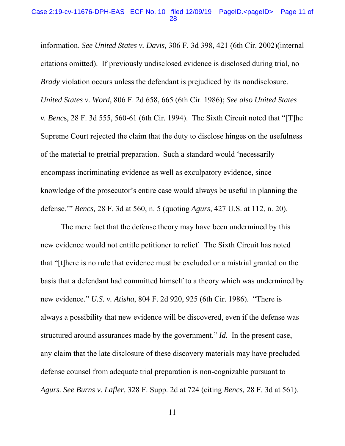#### Case 2:19-cv-11676-DPH-EAS ECF No. 10 filed 12/09/19 PageID.<pageID> Page 11 of 28

information. *See United States v. Davis,* 306 F. 3d 398, 421 (6th Cir. 2002)(internal citations omitted). If previously undisclosed evidence is disclosed during trial, no *Brady* violation occurs unless the defendant is prejudiced by its nondisclosure. *United States v. Word*, 806 F. 2d 658, 665 (6th Cir. 1986); *See also United States v. Benc*s, 28 F. 3d 555, 560-61 (6th Cir. 1994). The Sixth Circuit noted that "[T]he Supreme Court rejected the claim that the duty to disclose hinges on the usefulness of the material to pretrial preparation. Such a standard would 'necessarily encompass incriminating evidence as well as exculpatory evidence, since knowledge of the prosecutor's entire case would always be useful in planning the defense.'" *Bencs,* 28 F. 3d at 560, n. 5 (quoting *Agurs,* 427 U.S. at 112, n. 20).

 The mere fact that the defense theory may have been undermined by this new evidence would not entitle petitioner to relief. The Sixth Circuit has noted that "[t]here is no rule that evidence must be excluded or a mistrial granted on the basis that a defendant had committed himself to a theory which was undermined by new evidence." *U.S. v. Atisha*, 804 F. 2d 920, 925 (6th Cir. 1986). "There is always a possibility that new evidence will be discovered, even if the defense was structured around assurances made by the government." *Id.* In the present case, any claim that the late disclosure of these discovery materials may have precluded defense counsel from adequate trial preparation is non-cognizable pursuant to *Agurs. See Burns v. Lafler,* 328 F. Supp. 2d at 724 (citing *Bencs,* 28 F. 3d at 561).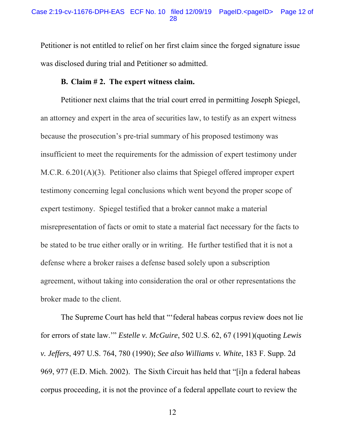Petitioner is not entitled to relief on her first claim since the forged signature issue was disclosed during trial and Petitioner so admitted.

## **B. Claim # 2. The expert witness claim.**

 Petitioner next claims that the trial court erred in permitting Joseph Spiegel, an attorney and expert in the area of securities law, to testify as an expert witness because the prosecution's pre-trial summary of his proposed testimony was insufficient to meet the requirements for the admission of expert testimony under M.C.R. 6.201(A)(3). Petitioner also claims that Spiegel offered improper expert testimony concerning legal conclusions which went beyond the proper scope of expert testimony. Spiegel testified that a broker cannot make a material misrepresentation of facts or omit to state a material fact necessary for the facts to be stated to be true either orally or in writing. He further testified that it is not a defense where a broker raises a defense based solely upon a subscription agreement, without taking into consideration the oral or other representations the broker made to the client.

 The Supreme Court has held that "'federal habeas corpus review does not lie for errors of state law.'" *Estelle v. McGuire*, 502 U.S. 62, 67 (1991)(quoting *Lewis v. Jeffers*, 497 U.S. 764, 780 (1990); *See also Williams v. White*, 183 F. Supp. 2d 969, 977 (E.D. Mich. 2002). The Sixth Circuit has held that "[i]n a federal habeas corpus proceeding, it is not the province of a federal appellate court to review the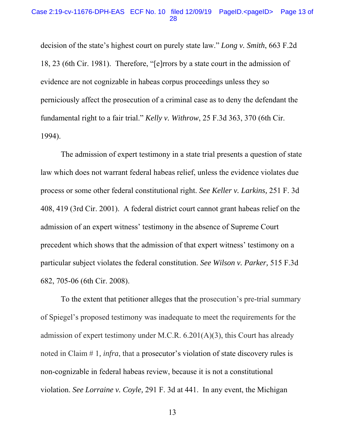#### Case 2:19-cv-11676-DPH-EAS ECF No. 10 filed 12/09/19 PageID.<pageID> Page 13 of 28

decision of the state's highest court on purely state law." *Long v. Smith*, 663 F.2d 18, 23 (6th Cir. 1981). Therefore, "[e]rrors by a state court in the admission of evidence are not cognizable in habeas corpus proceedings unless they so perniciously affect the prosecution of a criminal case as to deny the defendant the fundamental right to a fair trial." *Kelly v. Withrow*, 25 F.3d 363, 370 (6th Cir. 1994).

 The admission of expert testimony in a state trial presents a question of state law which does not warrant federal habeas relief, unless the evidence violates due process or some other federal constitutional right. *See Keller v. Larkins,* 251 F. 3d 408, 419 (3rd Cir. 2001). A federal district court cannot grant habeas relief on the admission of an expert witness' testimony in the absence of Supreme Court precedent which shows that the admission of that expert witness' testimony on a particular subject violates the federal constitution. *See Wilson v. Parker,* 515 F.3d 682, 705-06 (6th Cir. 2008).

 To the extent that petitioner alleges that the prosecution's pre-trial summary of Spiegel's proposed testimony was inadequate to meet the requirements for the admission of expert testimony under M.C.R. 6.201(A)(3), this Court has already noted in Claim # 1*, infra*, that a prosecutor's violation of state discovery rules is non-cognizable in federal habeas review, because it is not a constitutional violation. *See Lorraine v. Coyle,* 291 F. 3d at 441. In any event, the Michigan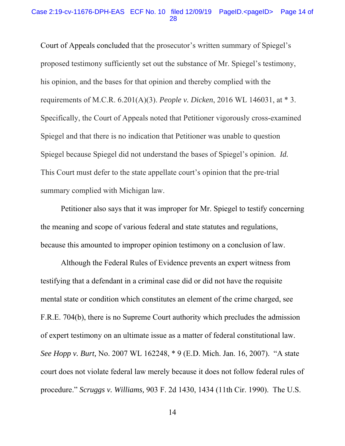#### Case 2:19-cv-11676-DPH-EAS ECF No. 10 filed 12/09/19 PageID.<pageID> Page 14 of 28

Court of Appeals concluded that the prosecutor's written summary of Spiegel's proposed testimony sufficiently set out the substance of Mr. Spiegel's testimony, his opinion, and the bases for that opinion and thereby complied with the requirements of M.C.R. 6.201(A)(3). *People v. Dicken*, 2016 WL 146031, at \* 3. Specifically, the Court of Appeals noted that Petitioner vigorously cross-examined Spiegel and that there is no indication that Petitioner was unable to question Spiegel because Spiegel did not understand the bases of Spiegel's opinion. *Id.*  This Court must defer to the state appellate court's opinion that the pre-trial summary complied with Michigan law.

 Petitioner also says that it was improper for Mr. Spiegel to testify concerning the meaning and scope of various federal and state statutes and regulations, because this amounted to improper opinion testimony on a conclusion of law.

 Although the Federal Rules of Evidence prevents an expert witness from testifying that a defendant in a criminal case did or did not have the requisite mental state or condition which constitutes an element of the crime charged, see F.R.E. 704(b), there is no Supreme Court authority which precludes the admission of expert testimony on an ultimate issue as a matter of federal constitutional law. *See Hopp v. Burt,* No. 2007 WL 162248, \* 9 (E.D. Mich. Jan. 16, 2007). "A state court does not violate federal law merely because it does not follow federal rules of procedure." *Scruggs v. Williams,* 903 F. 2d 1430, 1434 (11th Cir. 1990). The U.S.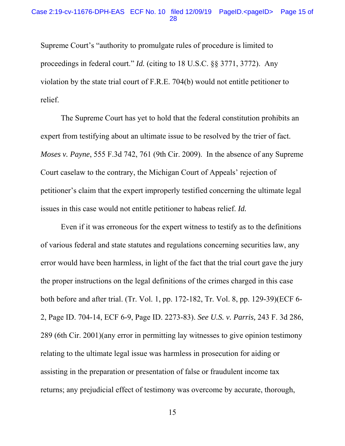#### Case 2:19-cv-11676-DPH-EAS ECF No. 10 filed 12/09/19 PageID.<pageID> Page 15 of 28

Supreme Court's "authority to promulgate rules of procedure is limited to proceedings in federal court." *Id.* (citing to 18 U.S.C. §§ 3771, 3772). Any violation by the state trial court of F.R.E. 704(b) would not entitle petitioner to relief.

 The Supreme Court has yet to hold that the federal constitution prohibits an expert from testifying about an ultimate issue to be resolved by the trier of fact. *Moses v. Payne*, 555 F.3d 742, 761 (9th Cir. 2009). In the absence of any Supreme Court caselaw to the contrary, the Michigan Court of Appeals' rejection of petitioner's claim that the expert improperly testified concerning the ultimate legal issues in this case would not entitle petitioner to habeas relief. *Id.* 

 Even if it was erroneous for the expert witness to testify as to the definitions of various federal and state statutes and regulations concerning securities law, any error would have been harmless, in light of the fact that the trial court gave the jury the proper instructions on the legal definitions of the crimes charged in this case both before and after trial. (Tr. Vol. 1, pp. 172-182, Tr. Vol. 8, pp. 129-39)(ECF 6- 2, Page ID. 704-14, ECF 6-9, Page ID. 2273-83). *See U.S. v. Parris,* 243 F. 3d 286, 289 (6th Cir. 2001)(any error in permitting lay witnesses to give opinion testimony relating to the ultimate legal issue was harmless in prosecution for aiding or assisting in the preparation or presentation of false or fraudulent income tax returns; any prejudicial effect of testimony was overcome by accurate, thorough,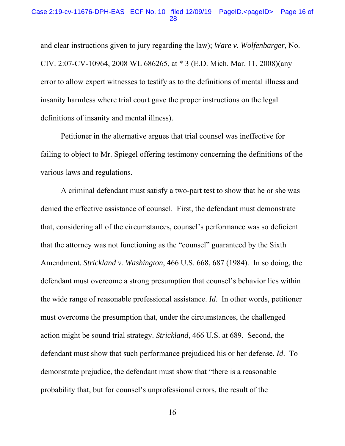and clear instructions given to jury regarding the law); *Ware v. Wolfenbarger*, No. CIV. 2:07-CV-10964, 2008 WL 686265, at \* 3 (E.D. Mich. Mar. 11, 2008)(any error to allow expert witnesses to testify as to the definitions of mental illness and insanity harmless where trial court gave the proper instructions on the legal definitions of insanity and mental illness).

 Petitioner in the alternative argues that trial counsel was ineffective for failing to object to Mr. Spiegel offering testimony concerning the definitions of the various laws and regulations.

 A criminal defendant must satisfy a two-part test to show that he or she was denied the effective assistance of counsel. First, the defendant must demonstrate that, considering all of the circumstances, counsel's performance was so deficient that the attorney was not functioning as the "counsel" guaranteed by the Sixth Amendment. *Strickland v. Washington*, 466 U.S. 668, 687 (1984). In so doing, the defendant must overcome a strong presumption that counsel's behavior lies within the wide range of reasonable professional assistance. *Id*. In other words, petitioner must overcome the presumption that, under the circumstances, the challenged action might be sound trial strategy. *Strickland,* 466 U.S. at 689. Second, the defendant must show that such performance prejudiced his or her defense. *Id*. To demonstrate prejudice, the defendant must show that "there is a reasonable probability that, but for counsel's unprofessional errors, the result of the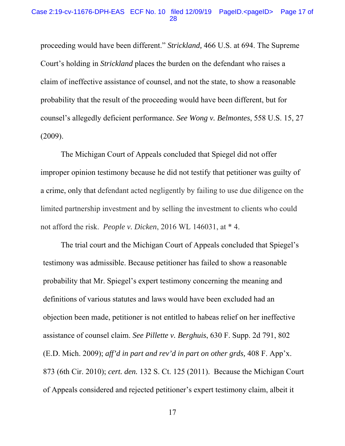#### Case 2:19-cv-11676-DPH-EAS ECF No. 10 filed 12/09/19 PageID.<pageID> Page 17 of 28

proceeding would have been different." *Strickland,* 466 U.S. at 694. The Supreme Court's holding in *Strickland* places the burden on the defendant who raises a claim of ineffective assistance of counsel, and not the state, to show a reasonable probability that the result of the proceeding would have been different, but for counsel's allegedly deficient performance. *See Wong v. Belmontes*, 558 U.S. 15, 27 (2009).

 The Michigan Court of Appeals concluded that Spiegel did not offer improper opinion testimony because he did not testify that petitioner was guilty of a crime, only that defendant acted negligently by failing to use due diligence on the limited partnership investment and by selling the investment to clients who could not afford the risk. *People v. Dicken*, 2016 WL 146031, at \* 4.

 The trial court and the Michigan Court of Appeals concluded that Spiegel's testimony was admissible. Because petitioner has failed to show a reasonable probability that Mr. Spiegel's expert testimony concerning the meaning and definitions of various statutes and laws would have been excluded had an objection been made, petitioner is not entitled to habeas relief on her ineffective assistance of counsel claim. *See Pillette v. Berghuis*, 630 F. Supp. 2d 791, 802 (E.D. Mich. 2009); *aff'd in part and rev'd in part on other grds,* 408 F. App'x. 873 (6th Cir. 2010); *cert. den.* 132 S. Ct. 125 (2011). Because the Michigan Court of Appeals considered and rejected petitioner's expert testimony claim, albeit it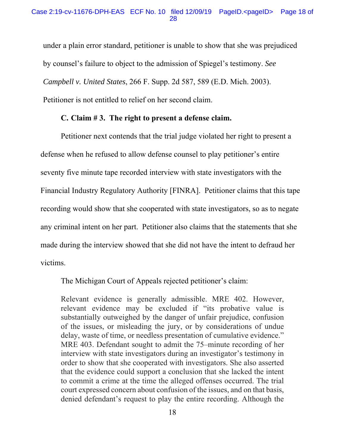under a plain error standard, petitioner is unable to show that she was prejudiced by counsel's failure to object to the admission of Spiegel's testimony. *See Campbell v. United States*, 266 F. Supp. 2d 587, 589 (E.D. Mich. 2003). Petitioner is not entitled to relief on her second claim.

## **C. Claim # 3. The right to present a defense claim.**

 Petitioner next contends that the trial judge violated her right to present a defense when he refused to allow defense counsel to play petitioner's entire seventy five minute tape recorded interview with state investigators with the Financial Industry Regulatory Authority [FINRA]. Petitioner claims that this tape recording would show that she cooperated with state investigators, so as to negate any criminal intent on her part. Petitioner also claims that the statements that she made during the interview showed that she did not have the intent to defraud her victims.

The Michigan Court of Appeals rejected petitioner's claim:

Relevant evidence is generally admissible. MRE 402. However, relevant evidence may be excluded if "its probative value is substantially outweighed by the danger of unfair prejudice, confusion of the issues, or misleading the jury, or by considerations of undue delay, waste of time, or needless presentation of cumulative evidence." MRE 403. Defendant sought to admit the 75–minute recording of her interview with state investigators during an investigator's testimony in order to show that she cooperated with investigators. She also asserted that the evidence could support a conclusion that she lacked the intent to commit a crime at the time the alleged offenses occurred. The trial court expressed concern about confusion of the issues, and on that basis, denied defendant's request to play the entire recording. Although the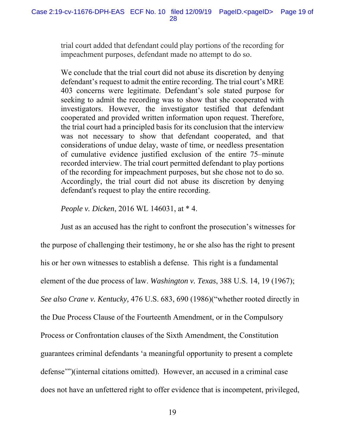trial court added that defendant could play portions of the recording for impeachment purposes, defendant made no attempt to do so.

We conclude that the trial court did not abuse its discretion by denying defendant's request to admit the entire recording. The trial court's MRE 403 concerns were legitimate. Defendant's sole stated purpose for seeking to admit the recording was to show that she cooperated with investigators. However, the investigator testified that defendant cooperated and provided written information upon request. Therefore, the trial court had a principled basis for its conclusion that the interview was not necessary to show that defendant cooperated, and that considerations of undue delay, waste of time, or needless presentation of cumulative evidence justified exclusion of the entire 75–minute recorded interview. The trial court permitted defendant to play portions of the recording for impeachment purposes, but she chose not to do so. Accordingly, the trial court did not abuse its discretion by denying defendant's request to play the entire recording.

*People v. Dicken*, 2016 WL 146031, at \* 4.

 Just as an accused has the right to confront the prosecution's witnesses for the purpose of challenging their testimony, he or she also has the right to present his or her own witnesses to establish a defense. This right is a fundamental element of the due process of law. *Washington v. Texas*, 388 U.S. 14, 19 (1967); *See also Crane v. Kentucky,* 476 U.S. 683, 690 (1986)("whether rooted directly in the Due Process Clause of the Fourteenth Amendment, or in the Compulsory Process or Confrontation clauses of the Sixth Amendment, the Constitution guarantees criminal defendants 'a meaningful opportunity to present a complete defense'")(internal citations omitted). However, an accused in a criminal case does not have an unfettered right to offer evidence that is incompetent, privileged,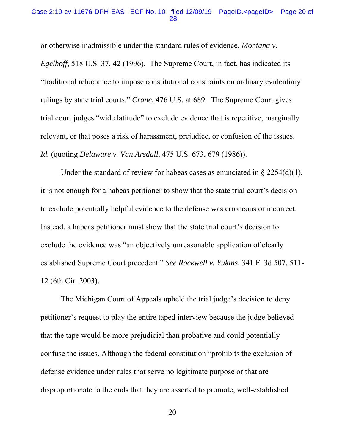#### Case 2:19-cv-11676-DPH-EAS ECF No. 10 filed 12/09/19 PageID.<pageID> Page 20 of 28

or otherwise inadmissible under the standard rules of evidence. *Montana v. Egelhoff*, 518 U.S. 37, 42 (1996). The Supreme Court, in fact, has indicated its "traditional reluctance to impose constitutional constraints on ordinary evidentiary rulings by state trial courts." *Crane,* 476 U.S. at 689. The Supreme Court gives trial court judges "wide latitude" to exclude evidence that is repetitive, marginally relevant, or that poses a risk of harassment, prejudice, or confusion of the issues. *Id.* (quoting *Delaware v. Van Arsdall,* 475 U.S. 673, 679 (1986)).

Under the standard of review for habeas cases as enunciated in  $\S 2254(d)(1)$ , it is not enough for a habeas petitioner to show that the state trial court's decision to exclude potentially helpful evidence to the defense was erroneous or incorrect. Instead, a habeas petitioner must show that the state trial court's decision to exclude the evidence was "an objectively unreasonable application of clearly established Supreme Court precedent." *See Rockwell v. Yukins,* 341 F. 3d 507, 511- 12 (6th Cir. 2003).

 The Michigan Court of Appeals upheld the trial judge's decision to deny petitioner's request to play the entire taped interview because the judge believed that the tape would be more prejudicial than probative and could potentially confuse the issues. Although the federal constitution "prohibits the exclusion of defense evidence under rules that serve no legitimate purpose or that are disproportionate to the ends that they are asserted to promote, well-established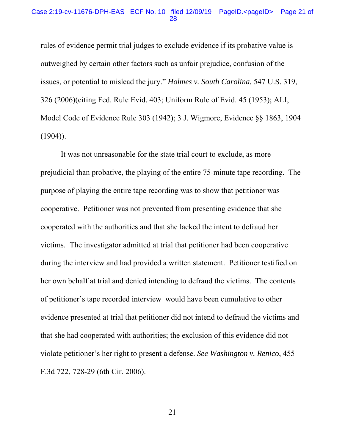#### Case 2:19-cv-11676-DPH-EAS ECF No. 10 filed 12/09/19 PageID.<pageID> Page 21 of 28

rules of evidence permit trial judges to exclude evidence if its probative value is outweighed by certain other factors such as unfair prejudice, confusion of the issues, or potential to mislead the jury." *Holmes v. South Carolina,* 547 U.S. 319, 326 (2006)(citing Fed. Rule Evid. 403; Uniform Rule of Evid. 45 (1953); ALI, Model Code of Evidence Rule 303 (1942); 3 J. Wigmore, Evidence §§ 1863, 1904  $(1904)$ ).

 It was not unreasonable for the state trial court to exclude, as more prejudicial than probative, the playing of the entire 75-minute tape recording. The purpose of playing the entire tape recording was to show that petitioner was cooperative. Petitioner was not prevented from presenting evidence that she cooperated with the authorities and that she lacked the intent to defraud her victims. The investigator admitted at trial that petitioner had been cooperative during the interview and had provided a written statement. Petitioner testified on her own behalf at trial and denied intending to defraud the victims. The contents of petitioner's tape recorded interview would have been cumulative to other evidence presented at trial that petitioner did not intend to defraud the victims and that she had cooperated with authorities; the exclusion of this evidence did not violate petitioner's her right to present a defense. *See Washington v. Renico*, 455 F.3d 722, 728-29 (6th Cir. 2006).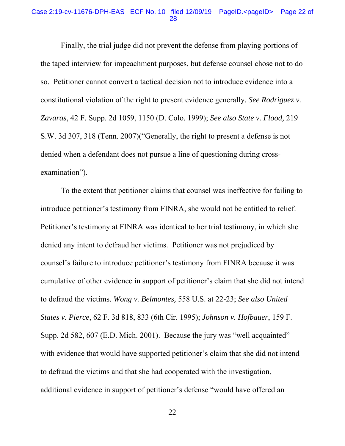#### Case 2:19-cv-11676-DPH-EAS ECF No. 10 filed 12/09/19 PageID.<pageID> Page 22 of 28

 Finally, the trial judge did not prevent the defense from playing portions of the taped interview for impeachment purposes, but defense counsel chose not to do so. Petitioner cannot convert a tactical decision not to introduce evidence into a constitutional violation of the right to present evidence generally. *See Rodriguez v. Zavaras*, 42 F. Supp. 2d 1059, 1150 (D. Colo. 1999); *See also State v. Flood,* 219 S.W. 3d 307, 318 (Tenn. 2007)("Generally, the right to present a defense is not denied when a defendant does not pursue a line of questioning during crossexamination").

 To the extent that petitioner claims that counsel was ineffective for failing to introduce petitioner's testimony from FINRA, she would not be entitled to relief. Petitioner's testimony at FINRA was identical to her trial testimony, in which she denied any intent to defraud her victims. Petitioner was not prejudiced by counsel's failure to introduce petitioner's testimony from FINRA because it was cumulative of other evidence in support of petitioner's claim that she did not intend to defraud the victims. *Wong v. Belmontes,* 558 U.S. at 22-23; *See also United States v. Pierce*, 62 F. 3d 818, 833 (6th Cir. 1995); *Johnson v. Hofbauer*, 159 F. Supp. 2d 582, 607 (E.D. Mich. 2001). Because the jury was "well acquainted" with evidence that would have supported petitioner's claim that she did not intend to defraud the victims and that she had cooperated with the investigation, additional evidence in support of petitioner's defense "would have offered an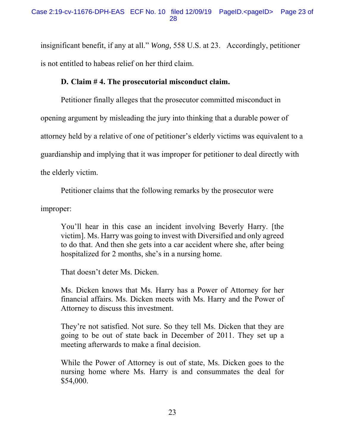insignificant benefit, if any at all." *Wong,* 558 U.S. at 23. Accordingly, petitioner is not entitled to habeas relief on her third claim.

## **D. Claim # 4. The prosecutorial misconduct claim.**

Petitioner finally alleges that the prosecutor committed misconduct in opening argument by misleading the jury into thinking that a durable power of attorney held by a relative of one of petitioner's elderly victims was equivalent to a guardianship and implying that it was improper for petitioner to deal directly with the elderly victim.

Petitioner claims that the following remarks by the prosecutor were

improper:

You'll hear in this case an incident involving Beverly Harry. [the victim]. Ms. Harry was going to invest with Diversified and only agreed to do that. And then she gets into a car accident where she, after being hospitalized for 2 months, she's in a nursing home.

That doesn't deter Ms. Dicken.

Ms. Dicken knows that Ms. Harry has a Power of Attorney for her financial affairs. Ms. Dicken meets with Ms. Harry and the Power of Attorney to discuss this investment.

They're not satisfied. Not sure. So they tell Ms. Dicken that they are going to be out of state back in December of 2011. They set up a meeting afterwards to make a final decision.

While the Power of Attorney is out of state, Ms. Dicken goes to the nursing home where Ms. Harry is and consummates the deal for \$54,000.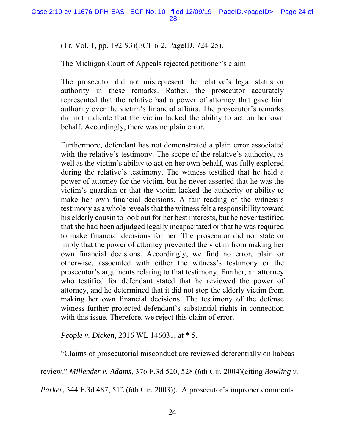(Tr. Vol. 1, pp. 192-93)(ECF 6-2, PageID. 724-25).

The Michigan Court of Appeals rejected petitioner's claim:

The prosecutor did not misrepresent the relative's legal status or authority in these remarks. Rather, the prosecutor accurately represented that the relative had a power of attorney that gave him authority over the victim's financial affairs. The prosecutor's remarks did not indicate that the victim lacked the ability to act on her own behalf. Accordingly, there was no plain error.

Furthermore, defendant has not demonstrated a plain error associated with the relative's testimony. The scope of the relative's authority, as well as the victim's ability to act on her own behalf, was fully explored during the relative's testimony. The witness testified that he held a power of attorney for the victim, but he never asserted that he was the victim's guardian or that the victim lacked the authority or ability to make her own financial decisions. A fair reading of the witness's testimony as a whole reveals that the witness felt a responsibility toward his elderly cousin to look out for her best interests, but he never testified that she had been adjudged legally incapacitated or that he was required to make financial decisions for her. The prosecutor did not state or imply that the power of attorney prevented the victim from making her own financial decisions. Accordingly, we find no error, plain or otherwise, associated with either the witness's testimony or the prosecutor's arguments relating to that testimony. Further, an attorney who testified for defendant stated that he reviewed the power of attorney, and he determined that it did not stop the elderly victim from making her own financial decisions. The testimony of the defense witness further protected defendant's substantial rights in connection with this issue. Therefore, we reject this claim of error.

*People v. Dicken*, 2016 WL 146031, at \* 5.

"Claims of prosecutorial misconduct are reviewed deferentially on habeas

review." *Millender v. Adams*, 376 F.3d 520, 528 (6th Cir. 2004)(citing *Bowling v.* 

*Parker*, 344 F.3d 487, 512 (6th Cir. 2003)). A prosecutor's improper comments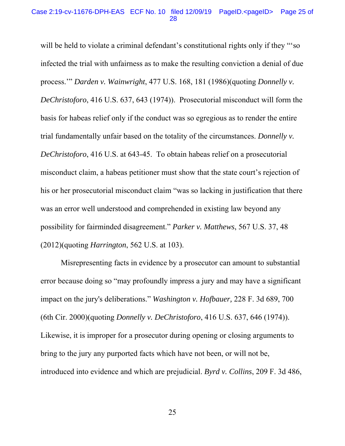#### Case 2:19-cv-11676-DPH-EAS ECF No. 10 filed 12/09/19 PageID.<pageID> Page 25 of 28

will be held to violate a criminal defendant's constitutional rights only if they "so infected the trial with unfairness as to make the resulting conviction a denial of due process.'" *Darden v. Wainwright*, 477 U.S. 168, 181 (1986)(quoting *Donnelly v. DeChristoforo*, 416 U.S. 637, 643 (1974)). Prosecutorial misconduct will form the basis for habeas relief only if the conduct was so egregious as to render the entire trial fundamentally unfair based on the totality of the circumstances. *Donnelly v. DeChristoforo*, 416 U.S. at 643-45. To obtain habeas relief on a prosecutorial misconduct claim, a habeas petitioner must show that the state court's rejection of his or her prosecutorial misconduct claim "was so lacking in justification that there was an error well understood and comprehended in existing law beyond any possibility for fairminded disagreement." *Parker v. Matthews*, 567 U.S. 37, 48 (2012)(quoting *Harrington*, 562 U.S. at 103).

 Misrepresenting facts in evidence by a prosecutor can amount to substantial error because doing so "may profoundly impress a jury and may have a significant impact on the jury's deliberations." *Washington v. Hofbauer,* 228 F. 3d 689, 700 (6th Cir. 2000)(quoting *Donnelly v. DeChristoforo*, 416 U.S. 637, 646 (1974)). Likewise, it is improper for a prosecutor during opening or closing arguments to bring to the jury any purported facts which have not been, or will not be, introduced into evidence and which are prejudicial. *Byrd v. Collins*, 209 F. 3d 486,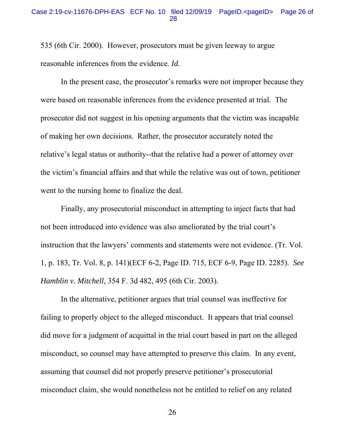535 (6th Cir. 2000). However, prosecutors must be given leeway to argue reasonable inferences from the evidence. *Id.* 

 In the present case, the prosecutor's remarks were not improper because they were based on reasonable inferences from the evidence presented at trial. The prosecutor did not suggest in his opening arguments that the victim was incapable of making her own decisions. Rather, the prosecutor accurately noted the relative's legal status or authority--that the relative had a power of attorney over the victim's financial affairs and that while the relative was out of town, petitioner went to the nursing home to finalize the deal.

 Finally, any prosecutorial misconduct in attempting to inject facts that had not been introduced into evidence was also ameliorated by the trial court's instruction that the lawyers' comments and statements were not evidence. (Tr. Vol. 1, p. 183, Tr. Vol. 8, p. 141)(ECF 6-2, Page ID. 715, ECF 6-9, Page ID. 2285). *See Hamblin v. Mitchell*, 354 F. 3d 482, 495 (6th Cir. 2003).

 In the alternative, petitioner argues that trial counsel was ineffective for failing to properly object to the alleged misconduct. It appears that trial counsel did move for a judgment of acquittal in the trial court based in part on the alleged misconduct, so counsel may have attempted to preserve this claim. In any event, assuming that counsel did not properly preserve petitioner's prosecutorial misconduct claim, she would nonetheless not be entitled to relief on any related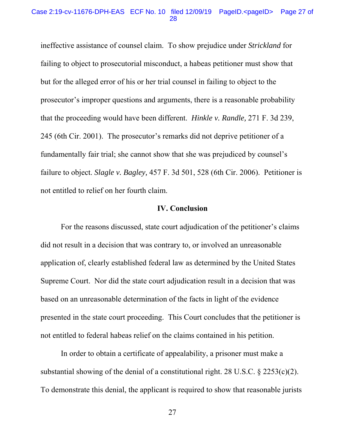#### Case 2:19-cv-11676-DPH-EAS ECF No. 10 filed 12/09/19 PageID.<pageID> Page 27 of 28

ineffective assistance of counsel claim. To show prejudice under *Strickland* for failing to object to prosecutorial misconduct, a habeas petitioner must show that but for the alleged error of his or her trial counsel in failing to object to the prosecutor's improper questions and arguments, there is a reasonable probability that the proceeding would have been different. *Hinkle v. Randle,* 271 F. 3d 239, 245 (6th Cir. 2001). The prosecutor's remarks did not deprive petitioner of a fundamentally fair trial; she cannot show that she was prejudiced by counsel's failure to object. *Slagle v. Bagley,* 457 F. 3d 501, 528 (6th Cir. 2006). Petitioner is not entitled to relief on her fourth claim.

### **IV. Conclusion**

 For the reasons discussed, state court adjudication of the petitioner's claims did not result in a decision that was contrary to, or involved an unreasonable application of, clearly established federal law as determined by the United States Supreme Court. Nor did the state court adjudication result in a decision that was based on an unreasonable determination of the facts in light of the evidence presented in the state court proceeding. This Court concludes that the petitioner is not entitled to federal habeas relief on the claims contained in his petition.

 In order to obtain a certificate of appealability, a prisoner must make a substantial showing of the denial of a constitutional right. 28 U.S.C.  $\S$  2253(c)(2). To demonstrate this denial, the applicant is required to show that reasonable jurists